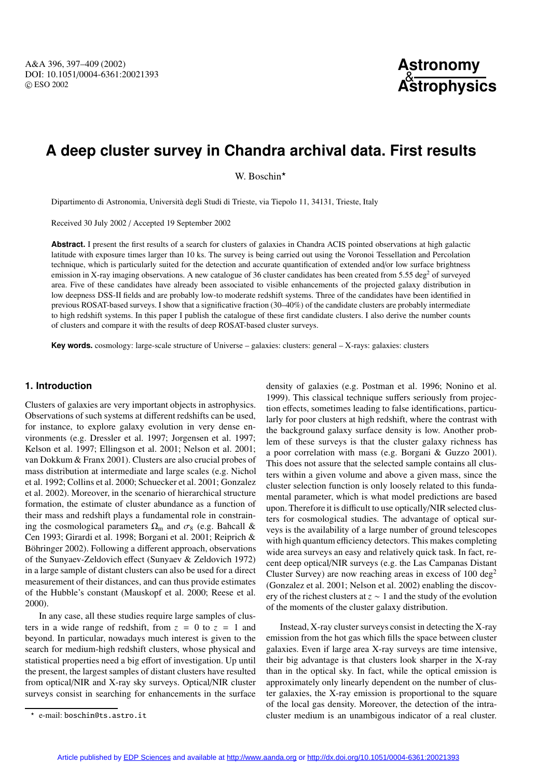# **A deep cluster survey in Chandra archival data. First results**

W. Boschin\*

Dipartimento di Astronomia, Università degli Studi di Trieste, via Tiepolo 11, 34131, Trieste, Italy

Received 30 July 2002 / Accepted 19 September 2002

**Abstract.** I present the first results of a search for clusters of galaxies in Chandra ACIS pointed observations at high galactic latitude with exposure times larger than 10 ks. The survey is being carried out using the Voronoi Tessellation and Percolation technique, which is particularly suited for the detection and accurate quantification of extended and/or low surface brightness emission in X-ray imaging observations. A new catalogue of 36 cluster candidates has been created from 5.55 deg<sup>2</sup> of surveyed area. Five of these candidates have already been associated to visible enhancements of the projected galaxy distribution in low deepness DSS-II fields and are probably low-to moderate redshift systems. Three of the candidates have been identified in previous ROSAT-based surveys. I show that a significative fraction (30–40%) of the candidate clusters are probably intermediate to high redshift systems. In this paper I publish the catalogue of these first candidate clusters. I also derive the number counts of clusters and compare it with the results of deep ROSAT-based cluster surveys.

**Key words.** cosmology: large-scale structure of Universe – galaxies: clusters: general – X-rays: galaxies: clusters

#### **1. Introduction**

Clusters of galaxies are very important objects in astrophysics. Observations of such systems at different redshifts can be used, for instance, to explore galaxy evolution in very dense environments (e.g. Dressler et al. 1997; Jorgensen et al. 1997; Kelson et al. 1997; Ellingson et al. 2001; Nelson et al. 2001; van Dokkum & Franx 2001). Clusters are also crucial probes of mass distribution at intermediate and large scales (e.g. Nichol et al. 1992; Collins et al. 2000; Schuecker et al. 2001; Gonzalez et al. 2002). Moreover, in the scenario of hierarchical structure formation, the estimate of cluster abundance as a function of their mass and redshift plays a fundamental role in constraining the cosmological parameters  $\Omega_{\rm m}$  and  $\sigma_8$  (e.g. Bahcall & Cen 1993; Girardi et al. 1998; Borgani et al. 2001; Reiprich & Böhringer 2002). Following a different approach, observations of the Sunyaev-Zeldovich effect (Sunyaev & Zeldovich 1972) in a large sample of distant clusters can also be used for a direct measurement of their distances, and can thus provide estimates of the Hubble's constant (Mauskopf et al. 2000; Reese et al. 2000).

In any case, all these studies require large samples of clusters in a wide range of redshift, from  $z = 0$  to  $z = 1$  and beyond. In particular, nowadays much interest is given to the search for medium-high redshift clusters, whose physical and statistical properties need a big effort of investigation. Up until the present, the largest samples of distant clusters have resulted from optical/NIR and X-ray sky surveys. Optical/NIR cluster surveys consist in searching for enhancements in the surface density of galaxies (e.g. Postman et al. 1996; Nonino et al. 1999). This classical technique suffers seriously from projection effects, sometimes leading to false identifications, particularly for poor clusters at high redshift, where the contrast with the background galaxy surface density is low. Another problem of these surveys is that the cluster galaxy richness has a poor correlation with mass (e.g. Borgani & Guzzo 2001). This does not assure that the selected sample contains all clusters within a given volume and above a given mass, since the cluster selection function is only loosely related to this fundamental parameter, which is what model predictions are based upon. Therefore it is difficult to use optically/NIR selected clusters for cosmological studies. The advantage of optical surveys is the availability of a large number of ground telescopes with high quantum efficiency detectors. This makes completing wide area surveys an easy and relatively quick task. In fact, recent deep optical/NIR surveys (e.g. the Las Campanas Distant Cluster Survey) are now reaching areas in excess of  $100 \text{ deg}^2$ (Gonzalez et al. 2001; Nelson et al. 2002) enabling the discovery of the richest clusters at *z* ∼ 1 and the study of the evolution of the moments of the cluster galaxy distribution.

Instead, X-ray cluster surveys consist in detecting the X-ray emission from the hot gas which fills the space between cluster galaxies. Even if large area X-ray surveys are time intensive, their big advantage is that clusters look sharper in the X-ray than in the optical sky. In fact, while the optical emission is approximately only linearly dependent on the number of cluster galaxies, the X-ray emission is proportional to the square of the local gas density. Moreover, the detection of the intracluster medium is an unambigous indicator of a real cluster.

<sup>?</sup> e-mail: boschin@ts.astro.it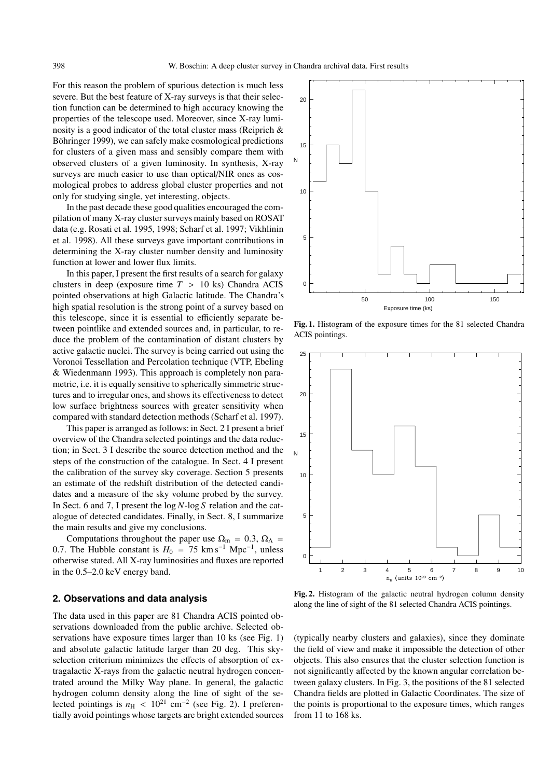For this reason the problem of spurious detection is much less severe. But the best feature of X-ray surveys is that their selection function can be determined to high accuracy knowing the properties of the telescope used. Moreover, since X-ray luminosity is a good indicator of the total cluster mass (Reiprich & Böhringer 1999), we can safely make cosmological predictions for clusters of a given mass and sensibly compare them with observed clusters of a given luminosity. In synthesis, X-ray surveys are much easier to use than optical/NIR ones as cosmological probes to address global cluster properties and not only for studying single, yet interesting, objects.

In the past decade these good qualities encouraged the compilation of many X-ray cluster surveys mainly based on ROSAT data (e.g. Rosati et al. 1995, 1998; Scharf et al. 1997; Vikhlinin et al. 1998). All these surveys gave important contributions in determining the X-ray cluster number density and luminosity function at lower and lower flux limits.

In this paper, I present the first results of a search for galaxy clusters in deep (exposure time  $T > 10$  ks) Chandra ACIS pointed observations at high Galactic latitude. The Chandra's high spatial resolution is the strong point of a survey based on this telescope, since it is essential to efficiently separate between pointlike and extended sources and, in particular, to reduce the problem of the contamination of distant clusters by active galactic nuclei. The survey is being carried out using the Voronoi Tessellation and Percolation technique (VTP, Ebeling & Wiedenmann 1993). This approach is completely non parametric, i.e. it is equally sensitive to spherically simmetric structures and to irregular ones, and shows its effectiveness to detect low surface brightness sources with greater sensitivity when compared with standard detection methods (Scharf et al. 1997).

This paper is arranged as follows: in Sect. 2 I present a brief overview of the Chandra selected pointings and the data reduction; in Sect. 3 I describe the source detection method and the steps of the construction of the catalogue. In Sect. 4 I present the calibration of the survey sky coverage. Section 5 presents an estimate of the redshift distribution of the detected candidates and a measure of the sky volume probed by the survey. In Sect. 6 and 7, I present the log *N*-log *S* relation and the catalogue of detected candidates. Finally, in Sect. 8, I summarize the main results and give my conclusions.

Computations throughout the paper use  $\Omega_{\rm m} = 0.3$ ,  $\Omega_{\Lambda} =$ 0.7. The Hubble constant is  $H_0 = 75 \text{ km s}^{-1} \text{ Mpc}^{-1}$ , unless otherwise stated. All X-ray luminosities and fluxes are reported in the 0.5–2.0 keV energy band.

## **2. Observations and data analysis**

The data used in this paper are 81 Chandra ACIS pointed observations downloaded from the public archive. Selected observations have exposure times larger than 10 ks (see Fig. 1) and absolute galactic latitude larger than 20 deg. This skyselection criterium minimizes the effects of absorption of extragalactic X-rays from the galactic neutral hydrogen concentrated around the Milky Way plane. In general, the galactic hydrogen column density along the line of sight of the selected pointings is  $n_H < 10^{21}$  cm<sup>-2</sup> (see Fig. 2). I preferentially avoid pointings whose targets are bright extended sources



Fig. 1. Histogram of the exposure times for the 81 selected Chandra ACIS pointings.



Fig. 2. Histogram of the galactic neutral hydrogen column density along the line of sight of the 81 selected Chandra ACIS pointings.

(typically nearby clusters and galaxies), since they dominate the field of view and make it impossible the detection of other objects. This also ensures that the cluster selection function is not significantly affected by the known angular correlation between galaxy clusters. In Fig. 3, the positions of the 81 selected Chandra fields are plotted in Galactic Coordinates. The size of the points is proportional to the exposure times, which ranges from 11 to 168 ks.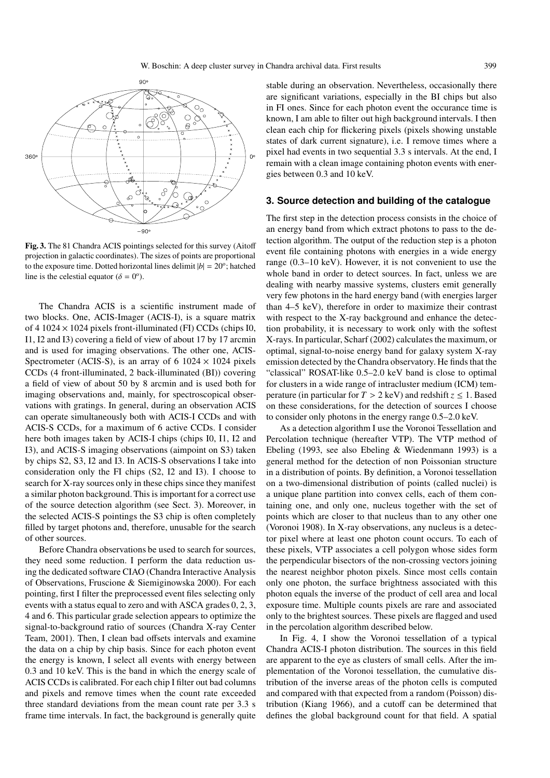

Fig. 3. The 81 Chandra ACIS pointings selected for this survey (Aitoff projection in galactic coordinates). The sizes of points are proportional to the exposure time. Dotted horizontal lines delimit  $|b| = 20^\circ$ ; hatched line is the celestial equator ( $\delta = 0^{\circ}$ ).

The Chandra ACIS is a scientific instrument made of two blocks. One, ACIS-Imager (ACIS-I), is a square matrix of 4 1024  $\times$  1024 pixels front-illuminated (FI) CCDs (chips I0, I1, I2 and I3) covering a field of view of about 17 by 17 arcmin and is used for imaging observations. The other one, ACIS-Spectrometer (ACIS-S), is an array of 6 1024  $\times$  1024 pixels CCDs (4 front-illuminated, 2 back-illuminated (BI)) covering a field of view of about 50 by 8 arcmin and is used both for imaging observations and, mainly, for spectroscopical observations with gratings. In general, during an observation ACIS can operate simultaneously both with ACIS-I CCDs and with ACIS-S CCDs, for a maximum of 6 active CCDs. I consider here both images taken by ACIS-I chips (chips I0, I1, I2 and I3), and ACIS-S imaging observations (aimpoint on S3) taken by chips S2, S3, I2 and I3. In ACIS-S observations I take into consideration only the FI chips (S2, I2 and I3). I choose to search for X-ray sources only in these chips since they manifest a similar photon background. This is important for a correct use of the source detection algorithm (see Sect. 3). Moreover, in the selected ACIS-S pointings the S3 chip is often completely filled by target photons and, therefore, unusable for the search of other sources.

Before Chandra observations be used to search for sources, they need some reduction. I perform the data reduction using the dedicated software CIAO (Chandra Interactive Analysis of Observations, Fruscione & Siemiginowska 2000). For each pointing, first I filter the preprocessed event files selecting only events with a status equal to zero and with ASCA grades 0, 2, 3, 4 and 6. This particular grade selection appears to optimize the signal-to-background ratio of sources (Chandra X-ray Center Team, 2001). Then, I clean bad offsets intervals and examine the data on a chip by chip basis. Since for each photon event the energy is known, I select all events with energy between 0.3 and 10 keV. This is the band in which the energy scale of ACIS CCDs is calibrated. For each chip I filter out bad columns and pixels and remove times when the count rate exceeded three standard deviations from the mean count rate per 3.3 s frame time intervals. In fact, the background is generally quite

stable during an observation. Nevertheless, occasionally there are significant variations, especially in the BI chips but also in FI ones. Since for each photon event the occurance time is known, I am able to filter out high background intervals. I then clean each chip for flickering pixels (pixels showing unstable states of dark current signature), i.e. I remove times where a pixel had events in two sequential 3.3 s intervals. At the end, I remain with a clean image containing photon events with energies between 0.3 and 10 keV.

#### **3. Source detection and building of the catalogue**

The first step in the detection process consists in the choice of an energy band from which extract photons to pass to the detection algorithm. The output of the reduction step is a photon event file containing photons with energies in a wide energy range (0.3–10 keV). However, it is not convenient to use the whole band in order to detect sources. In fact, unless we are dealing with nearby massive systems, clusters emit generally very few photons in the hard energy band (with energies larger than 4–5 keV), therefore in order to maximize their contrast with respect to the X-ray background and enhance the detection probability, it is necessary to work only with the softest X-rays. In particular, Scharf (2002) calculates the maximum, or optimal, signal-to-noise energy band for galaxy system X-ray emission detected by the Chandra observatory. He finds that the "classical" ROSAT-like 0.5–2.0 keV band is close to optimal for clusters in a wide range of intracluster medium (ICM) temperature (in particular for  $T > 2$  keV) and redshift  $z \leq 1$ . Based on these considerations, for the detection of sources I choose to consider only photons in the energy range 0.5–2.0 keV.

As a detection algorithm I use the Voronoi Tessellation and Percolation technique (hereafter VTP). The VTP method of Ebeling (1993, see also Ebeling & Wiedenmann 1993) is a general method for the detection of non Poissonian structure in a distribution of points. By definition, a Voronoi tessellation on a two-dimensional distribution of points (called nuclei) is a unique plane partition into convex cells, each of them containing one, and only one, nucleus together with the set of points which are closer to that nucleus than to any other one (Voronoi 1908). In X-ray observations, any nucleus is a detector pixel where at least one photon count occurs. To each of these pixels, VTP associates a cell polygon whose sides form the perpendicular bisectors of the non-crossing vectors joining the nearest neighbor photon pixels. Since most cells contain only one photon, the surface brightness associated with this photon equals the inverse of the product of cell area and local exposure time. Multiple counts pixels are rare and associated only to the brightest sources. These pixels are flagged and used in the percolation algorithm described below.

In Fig. 4, I show the Voronoi tessellation of a typical Chandra ACIS-I photon distribution. The sources in this field are apparent to the eye as clusters of small cells. After the implementation of the Voronoi tessellation, the cumulative distribution of the inverse areas of the photon cells is computed and compared with that expected from a random (Poisson) distribution (Kiang 1966), and a cutoff can be determined that defines the global background count for that field. A spatial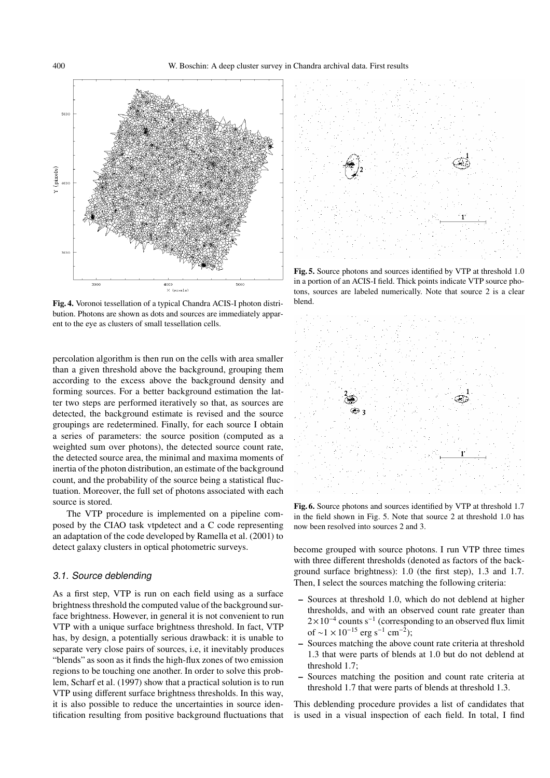

Fig. 4. Voronoi tessellation of a typical Chandra ACIS-I photon distribution. Photons are shown as dots and sources are immediately apparent to the eye as clusters of small tessellation cells.

percolation algorithm is then run on the cells with area smaller than a given threshold above the background, grouping them according to the excess above the background density and forming sources. For a better background estimation the latter two steps are performed iteratively so that, as sources are detected, the background estimate is revised and the source groupings are redetermined. Finally, for each source I obtain a series of parameters: the source position (computed as a weighted sum over photons), the detected source count rate, the detected source area, the minimal and maxima moments of inertia of the photon distribution, an estimate of the background count, and the probability of the source being a statistical fluctuation. Moreover, the full set of photons associated with each source is stored.

The VTP procedure is implemented on a pipeline composed by the CIAO task vtpdetect and a C code representing an adaptation of the code developed by Ramella et al. (2001) to detect galaxy clusters in optical photometric surveys.

## 3.1. Source deblending

As a first step, VTP is run on each field using as a surface brightness threshold the computed value of the background surface brightness. However, in general it is not convenient to run VTP with a unique surface brightness threshold. In fact, VTP has, by design, a potentially serious drawback: it is unable to separate very close pairs of sources, i.e, it inevitably produces "blends" as soon as it finds the high-flux zones of two emission regions to be touching one another. In order to solve this problem, Scharf et al. (1997) show that a practical solution is to run VTP using different surface brightness thresholds. In this way, it is also possible to reduce the uncertainties in source identification resulting from positive background fluctuations that



Fig. 5. Source photons and sources identified by VTP at threshold 1.0 in a portion of an ACIS-I field. Thick points indicate VTP source photons, sources are labeled numerically. Note that source 2 is a clear blend.



Fig. 6. Source photons and sources identified by VTP at threshold 1.7 in the field shown in Fig. 5. Note that source 2 at threshold 1.0 has now been resolved into sources 2 and 3.

become grouped with source photons. I run VTP three times with three different thresholds (denoted as factors of the background surface brightness): 1.0 (the first step), 1.3 and 1.7. Then, I select the sources matching the following criteria:

- Sources at threshold 1.0, which do not deblend at higher thresholds, and with an observed count rate greater than  $2\times10^{-4}$  counts s<sup>-1</sup> (corresponding to an observed flux limit of ~1 × 10<sup>-15</sup> erg s<sup>-1</sup> cm<sup>-2</sup>);
- Sources matching the above count rate criteria at threshold 1.3 that were parts of blends at 1.0 but do not deblend at threshold 1.7;
- Sources matching the position and count rate criteria at threshold 1.7 that were parts of blends at threshold 1.3.

This deblending procedure provides a list of candidates that is used in a visual inspection of each field. In total, I find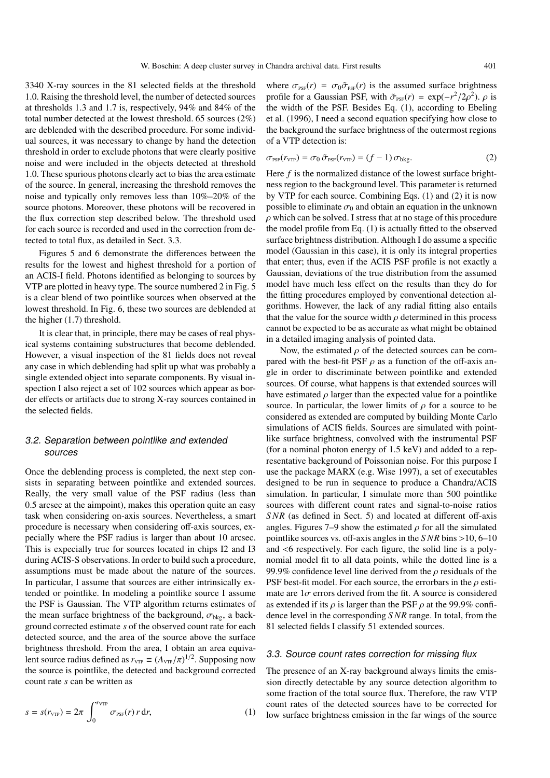3340 X-ray sources in the 81 selected fields at the threshold 1.0. Raising the threshold level, the number of detected sources at thresholds 1.3 and 1.7 is, respectively, 94% and 84% of the total number detected at the lowest threshold. 65 sources (2%) are deblended with the described procedure. For some individual sources, it was necessary to change by hand the detection threshold in order to exclude photons that were clearly positive noise and were included in the objects detected at threshold 1.0. These spurious photons clearly act to bias the area estimate of the source. In general, increasing the threshold removes the noise and typically only removes less than 10%–20% of the source photons. Moreover, these photons will be recovered in the flux correction step described below. The threshold used for each source is recorded and used in the correction from detected to total flux, as detailed in Sect. 3.3.

Figures 5 and 6 demonstrate the differences between the results for the lowest and highest threshold for a portion of an ACIS-I field. Photons identified as belonging to sources by VTP are plotted in heavy type. The source numbered 2 in Fig. 5 is a clear blend of two pointlike sources when observed at the lowest threshold. In Fig. 6, these two sources are deblended at the higher (1.7) threshold.

It is clear that, in principle, there may be cases of real physical systems containing substructures that become deblended. However, a visual inspection of the 81 fields does not reveal any case in which deblending had split up what was probably a single extended object into separate components. By visual inspection I also reject a set of 102 sources which appear as border effects or artifacts due to strong X-ray sources contained in the selected fields.

# 3.2. Separation between pointlike and extended sources

Once the deblending process is completed, the next step consists in separating between pointlike and extended sources. Really, the very small value of the PSF radius (less than 0.5 arcsec at the aimpoint), makes this operation quite an easy task when considering on-axis sources. Nevertheless, a smart procedure is necessary when considering off-axis sources, expecially where the PSF radius is larger than about 10 arcsec. This is expecially true for sources located in chips I2 and I3 during ACIS-S observations. In order to build such a procedure, assumptions must be made about the nature of the sources. In particular, I assume that sources are either intrinsically extended or pointlike. In modeling a pointlike source I assume the PSF is Gaussian. The VTP algorithm returns estimates of the mean surface brightness of the background,  $\sigma_{bkg}$ , a background corrected estimate *s* of the observed count rate for each detected source, and the area of the source above the surface brightness threshold. From the area, I obtain an area equivalent source radius defined as  $r_{\text{VTP}} \equiv (A_{\text{VTP}}/\pi)^{1/2}$ . Supposing now the source is pointlike, the detected and background corrected count rate *s* can be written as

$$
s = s(r_{\text{VTP}}) = 2\pi \int_0^{r_{\text{VTP}}} \sigma_{\text{PSF}}(r) \, r \, dr,\tag{1}
$$

where  $\sigma_{\text{psF}}(r) = \sigma_0 \tilde{\sigma}_{\text{psF}}(r)$  is the assumed surface brightness profile for a Gaussian PSF, with  $\tilde{\sigma}_{PSF}(r) = \exp(-r^2/2\rho^2)$ .  $\rho$  is the width of the PSF. Besides Eq. (1), according to Ebeling et al. (1996), I need a second equation specifying how close to the background the surface brightness of the outermost regions of a VTP detection is:

$$
\sigma_{\text{PSF}}(r_{\text{VTP}}) = \sigma_0 \,\tilde{\sigma}_{\text{PSF}}(r_{\text{VTP}}) = (f - 1) \,\sigma_{\text{bkg}}.\tag{2}
$$

Here *f* is the normalized distance of the lowest surface brightness region to the background level. This parameter is returned by VTP for each source. Combining Eqs. (1) and (2) it is now possible to eliminate  $\sigma_0$  and obtain an equation in the unknown  $\rho$  which can be solved. I stress that at no stage of this procedure the model profile from Eq. (1) is actually fitted to the observed surface brightness distribution. Although I do assume a specific model (Gaussian in this case), it is only its integral properties that enter; thus, even if the ACIS PSF profile is not exactly a Gaussian, deviations of the true distribution from the assumed model have much less effect on the results than they do for the fitting procedures employed by conventional detection algorithms. However, the lack of any radial fitting also entails that the value for the source width  $\rho$  determined in this process cannot be expected to be as accurate as what might be obtained in a detailed imaging analysis of pointed data.

Now, the estimated  $\rho$  of the detected sources can be compared with the best-fit PSF  $\rho$  as a function of the off-axis angle in order to discriminate between pointlike and extended sources. Of course, what happens is that extended sources will have estimated  $\rho$  larger than the expected value for a pointlike source. In particular, the lower limits of  $\rho$  for a source to be considered as extended are computed by building Monte Carlo simulations of ACIS fields. Sources are simulated with pointlike surface brightness, convolved with the instrumental PSF (for a nominal photon energy of 1.5 keV) and added to a representative background of Poissonian noise. For this purpose I use the package MARX (e.g. Wise 1997), a set of executables designed to be run in sequence to produce a Chandra/ACIS simulation. In particular, I simulate more than 500 pointlike sources with different count rates and signal-to-noise ratios *SNR* (as defined in Sect. 5) and located at different off-axis angles. Figures 7–9 show the estimated  $\rho$  for all the simulated pointlike sources vs. off-axis angles in the *SNR* bins >10, 6–10 and <6 respectively. For each figure, the solid line is a polynomial model fit to all data points, while the dotted line is a 99.9% confidence level line derived from the  $\rho$  residuals of the PSF best-fit model. For each source, the errorbars in the  $\rho$  estimate are  $1\sigma$  errors derived from the fit. A source is considered as extended if its  $\rho$  is larger than the PSF  $\rho$  at the 99.9% confidence level in the corresponding *SNR* range. In total, from the 81 selected fields I classify 51 extended sources.

# 3.3. Source count rates correction for missing flux

The presence of an X-ray background always limits the emission directly detectable by any source detection algorithm to some fraction of the total source flux. Therefore, the raw VTP count rates of the detected sources have to be corrected for low surface brightness emission in the far wings of the source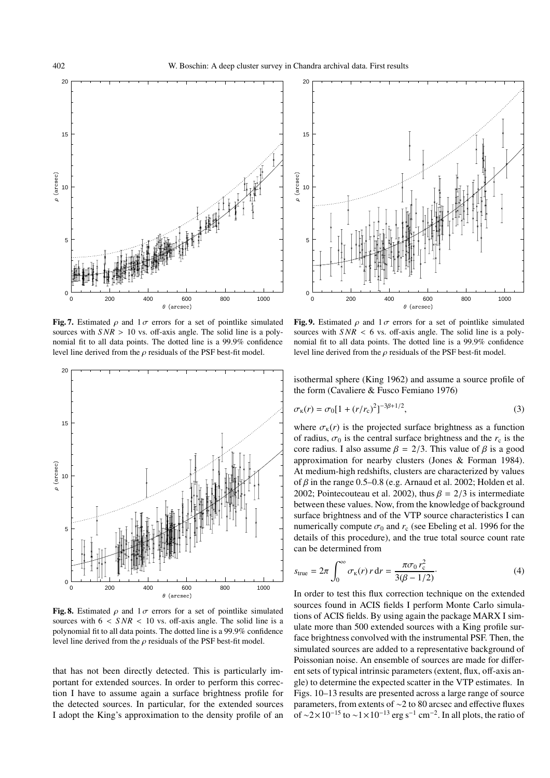

Fig. 7. Estimated  $\rho$  and  $1\sigma$  errors for a set of pointlike simulated sources with  $SNR > 10$  vs. off-axis angle. The solid line is a polynomial fit to all data points. The dotted line is a 99.9% confidence level line derived from the  $\rho$  residuals of the PSF best-fit model.



Fig. 8. Estimated  $\rho$  and  $1\sigma$  errors for a set of pointlike simulated sources with  $6 < SNR < 10$  vs. off-axis angle. The solid line is a polynomial fit to all data points. The dotted line is a 99.9% confidence level line derived from the  $\rho$  residuals of the PSF best-fit model.

that has not been directly detected. This is particularly important for extended sources. In order to perform this correction I have to assume again a surface brightness profile for the detected sources. In particular, for the extended sources I adopt the King's approximation to the density profile of an



Fig. 9. Estimated  $\rho$  and  $1\sigma$  errors for a set of pointlike simulated sources with  $SNR < 6$  vs. off-axis angle. The solid line is a polynomial fit to all data points. The dotted line is a 99.9% confidence level line derived from the  $\rho$  residuals of the PSF best-fit model.

isothermal sphere (King 1962) and assume a source profile of the form (Cavaliere & Fusco Femiano 1976)

$$
\sigma_{\kappa}(r) = \sigma_0 [1 + (r/r_c)^2]^{-3\beta + 1/2},\tag{3}
$$

where  $\sigma_{\kappa}(r)$  is the projected surface brightness as a function of radius,  $\sigma_0$  is the central surface brightness and the  $r_c$  is the core radius. I also assume  $\beta = 2/3$ . This value of  $\beta$  is a good approximation for nearby clusters (Jones & Forman 1984). At medium-high redshifts, clusters are characterized by values of  $\beta$  in the range 0.5–0.8 (e.g. Arnaud et al. 2002; Holden et al. 2002; Pointecouteau et al. 2002), thus  $\beta = 2/3$  is intermediate between these values. Now, from the knowledge of background surface brightness and of the VTP source characteristics I can numerically compute  $\sigma_0$  and  $r_c$  (see Ebeling et al. 1996 for the details of this procedure), and the true total source count rate can be determined from

$$
s_{\text{true}} = 2\pi \int_0^\infty \sigma_{\text{k}}(r) r \, dr = \frac{\pi \sigma_0 r_{\text{c}}^2}{3(\beta - 1/2)}.
$$
 (4)

In order to test this flux correction technique on the extended sources found in ACIS fields I perform Monte Carlo simulations of ACIS fields. By using again the package MARX I simulate more than 500 extended sources with a King profile surface brightness convolved with the instrumental PSF. Then, the simulated sources are added to a representative background of Poissonian noise. An ensemble of sources are made for different sets of typical intrinsic parameters (extent, flux, off-axis angle) to determine the expected scatter in the VTP estimates. In Figs. 10–13 results are presented across a large range of source parameters, from extents of ∼2 to 80 arcsec and effective fluxes of ~2×10<sup>-15</sup> to ~1×10<sup>-13</sup> erg s<sup>-1</sup> cm<sup>-2</sup>. In all plots, the ratio of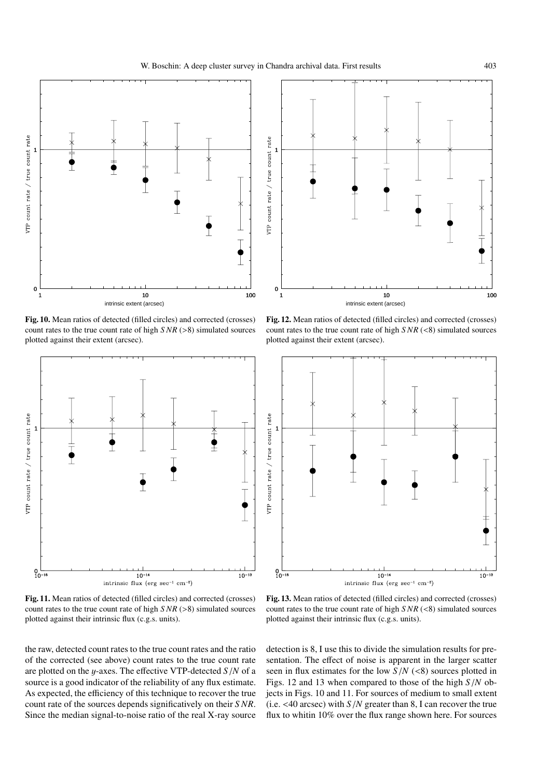

Fig. 10. Mean ratios of detected (filled circles) and corrected (crosses) count rates to the true count rate of high *S NR* (>8) simulated sources plotted against their extent (arcsec).



Fig. 11. Mean ratios of detected (filled circles) and corrected (crosses) count rates to the true count rate of high *S NR* (>8) simulated sources plotted against their intrinsic flux (c.g.s. units).

the raw, detected count rates to the true count rates and the ratio of the corrected (see above) count rates to the true count rate are plotted on the y-axes. The effective VTP-detected *S*/*N* of a source is a good indicator of the reliability of any flux estimate. As expected, the efficiency of this technique to recover the true count rate of the sources depends significatively on their *SNR*. Since the median signal-to-noise ratio of the real X-ray source



Fig. 12. Mean ratios of detected (filled circles) and corrected (crosses) count rates to the true count rate of high *S NR* (<8) simulated sources plotted against their extent (arcsec).



Fig. 13. Mean ratios of detected (filled circles) and corrected (crosses) count rates to the true count rate of high *S NR* (<8) simulated sources plotted against their intrinsic flux (c.g.s. units).

detection is 8, I use this to divide the simulation results for presentation. The effect of noise is apparent in the larger scatter seen in flux estimates for the low  $S/N$  (<8) sources plotted in Figs. 12 and 13 when compared to those of the high *S*/*N* objects in Figs. 10 and 11. For sources of medium to small extent (i.e. <40 arcsec) with *S*/*N* greater than 8, I can recover the true flux to whitin 10% over the flux range shown here. For sources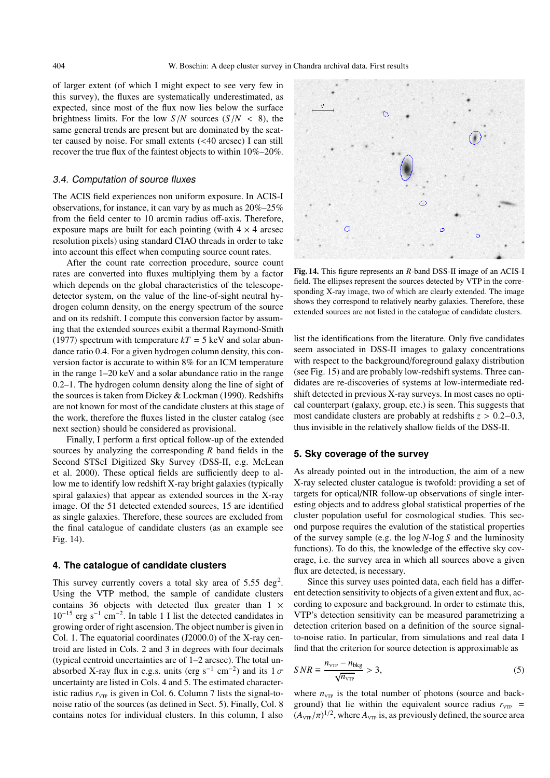of larger extent (of which I might expect to see very few in this survey), the fluxes are systematically underestimated, as expected, since most of the flux now lies below the surface brightness limits. For the low  $S/N$  sources  $(S/N < 8)$ , the same general trends are present but are dominated by the scatter caused by noise. For small extents (<40 arcsec) I can still recover the true flux of the faintest objects to within 10%–20%.

## 3.4. Computation of source fluxes

The ACIS field experiences non uniform exposure. In ACIS-I observations, for instance, it can vary by as much as 20%–25% from the field center to 10 arcmin radius off-axis. Therefore, exposure maps are built for each pointing (with  $4 \times 4$  arcsec resolution pixels) using standard CIAO threads in order to take into account this effect when computing source count rates.

After the count rate correction procedure, source count rates are converted into fluxes multiplying them by a factor which depends on the global characteristics of the telescopedetector system, on the value of the line-of-sight neutral hydrogen column density, on the energy spectrum of the source and on its redshift. I compute this conversion factor by assuming that the extended sources exibit a thermal Raymond-Smith (1977) spectrum with temperature  $kT = 5$  keV and solar abundance ratio 0.4. For a given hydrogen column density, this conversion factor is accurate to within 8% for an ICM temperature in the range 1–20 keV and a solar abundance ratio in the range 0.2–1. The hydrogen column density along the line of sight of the sources is taken from Dickey & Lockman (1990). Redshifts are not known for most of the candidate clusters at this stage of the work, therefore the fluxes listed in the cluster catalog (see next section) should be considered as provisional.

Finally, I perform a first optical follow-up of the extended sources by analyzing the corresponding *R* band fields in the Second STScI Digitized Sky Survey (DSS-II, e.g. McLean et al. 2000). These optical fields are sufficiently deep to allow me to identify low redshift X-ray bright galaxies (typically spiral galaxies) that appear as extended sources in the X-ray image. Of the 51 detected extended sources, 15 are identified as single galaxies. Therefore, these sources are excluded from the final catalogue of candidate clusters (as an example see Fig. 14).

## **4. The catalogue of candidate clusters**

This survey currently covers a total sky area of  $5.55 \text{ deg}^2$ . Using the VTP method, the sample of candidate clusters contains 36 objects with detected flux greater than  $1 \times$  $10^{-15}$  erg s<sup>-1</sup> cm<sup>-2</sup>. In table 1 I list the detected candidates in growing order of right ascension. The object number is given in Col. 1. The equatorial coordinates (J2000.0) of the X-ray centroid are listed in Cols. 2 and 3 in degrees with four decimals (typical centroid uncertainties are of 1–2 arcsec). The total unabsorbed X-ray flux in c.g.s. units (erg s<sup>-1</sup> cm<sup>-2</sup>) and its  $1 \sigma$ uncertainty are listed in Cols. 4 and 5. The estimated characteristic radius  $r_{VTP}$  is given in Col. 6. Column 7 lists the signal-tonoise ratio of the sources (as defined in Sect. 5). Finally, Col. 8 contains notes for individual clusters. In this column, I also



Fig. 14. This figure represents an *<sup>R</sup>*-band DSS-II image of an ACIS-I field. The ellipses represent the sources detected by VTP in the corresponding X-ray image, two of which are clearly extended. The image shows they correspond to relatively nearby galaxies. Therefore, these extended sources are not listed in the catalogue of candidate clusters.

list the identifications from the literature. Only five candidates seem associated in DSS-II images to galaxy concentrations with respect to the background/foreground galaxy distribution (see Fig. 15) and are probably low-redshift systems. Three candidates are re-discoveries of systems at low-intermediate redshift detected in previous X-ray surveys. In most cases no optical counterpart (galaxy, group, etc.) is seen. This suggests that most candidate clusters are probably at redshifts *z* > 0.2−0.3, thus invisible in the relatively shallow fields of the DSS-II.

# **5. Sky coverage of the survey**

As already pointed out in the introduction, the aim of a new X-ray selected cluster catalogue is twofold: providing a set of targets for optical/NIR follow-up observations of single interesting objects and to address global statistical properties of the cluster population useful for cosmological studies. This second purpose requires the evalution of the statistical properties of the survey sample (e.g. the log *N*-log *S* and the luminosity functions). To do this, the knowledge of the effective sky coverage, i.e. the survey area in which all sources above a given flux are detected, is necessary.

Since this survey uses pointed data, each field has a different detection sensitivity to objects of a given extent and flux, according to exposure and background. In order to estimate this, VTP's detection sensitivity can be measured parametrizing a detection criterion based on a definition of the source signalto-noise ratio. In particular, from simulations and real data I find that the criterion for source detection is approximable as

$$
SNR \equiv \frac{n_{\text{vTP}} - n_{\text{bkg}}}{\sqrt{n_{\text{vTP}}}} > 3,
$$
\n(5)

where  $n_{VTP}$  is the total number of photons (source and background) that lie within the equivalent source radius  $r_{VTP}$  =  $(A_{\text{VTP}}/\pi)^{1/2}$ , where  $A_{\text{VTP}}$  is, as previously defined, the source area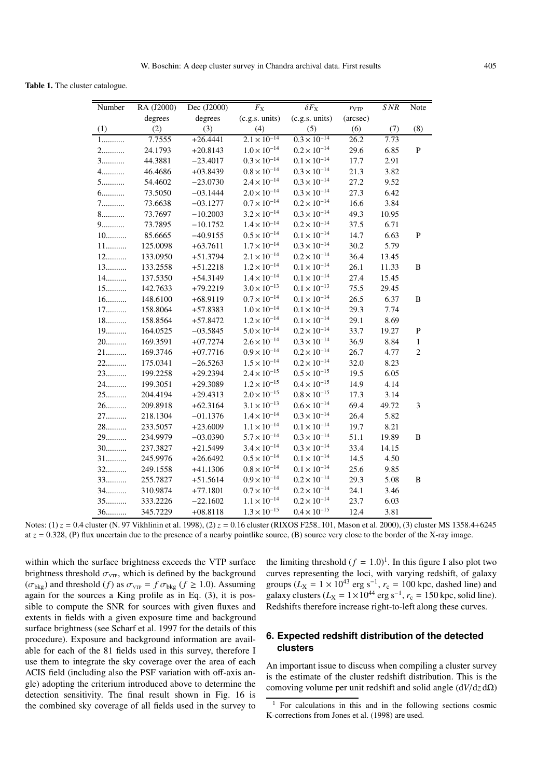Table 1. The cluster catalogue.

| Number | RA (J2000) | Dec (J2000) | $F_{\rm X}$           | $\delta F_{\rm X}$    | $r_{VTP}$ | SNR   | Note           |
|--------|------------|-------------|-----------------------|-----------------------|-----------|-------|----------------|
|        | degrees    | degrees     | (c.g.s. units)        | (c.g.s. units)        | (arcsec)  |       |                |
| (1)    | (2)        | (3)         | (4)                   | (5)                   | (6)       | (7)   | (8)            |
| 1      | 7.7555     | $+26.4441$  | $2.1 \times 10^{-14}$ | $0.3 \times 10^{-14}$ | 26.2      | 7.73  |                |
| 2.     | 24.1793    | $+20.8143$  | $1.0 \times 10^{-14}$ | $0.2 \times 10^{-14}$ | 29.6      | 6.85  | ${\bf P}$      |
| 3.     | 44.3881    | $-23.4017$  | $0.3 \times 10^{-14}$ | $0.1 \times 10^{-14}$ | 17.7      | 2.91  |                |
| 4.     | 46.4686    | $+03.8439$  | $0.8 \times 10^{-14}$ | $0.3 \times 10^{-14}$ | 21.3      | 3.82  |                |
| 5.     | 54.4602    | $-23.0730$  | $2.4 \times 10^{-14}$ | $0.3 \times 10^{-14}$ | 27.2      | 9.52  |                |
| 6.     | 73.5050    | $-03.1444$  | $2.0 \times 10^{-14}$ | $0.3 \times 10^{-14}$ | 27.3      | 6.42  |                |
| 7.     | 73.6638    | $-03.1277$  | $0.7 \times 10^{-14}$ | $0.2 \times 10^{-14}$ | 16.6      | 3.84  |                |
| 8.     | 73.7697    | $-10.2003$  | $3.2 \times 10^{-14}$ | $0.3 \times 10^{-14}$ | 49.3      | 10.95 |                |
| 9.     | 73.7895    | $-10.1752$  | $1.4 \times 10^{-14}$ | $0.2 \times 10^{-14}$ | 37.5      | 6.71  |                |
| $10$   | 85.6665    | $-40.9155$  | $0.5 \times 10^{-14}$ | $0.1 \times 10^{-14}$ | 14.7      | 6.63  | ${\bf P}$      |
| $11$   | 125.0098   | $+63.7611$  | $1.7 \times 10^{-14}$ | $0.3 \times 10^{-14}$ | 30.2      | 5.79  |                |
| $12$   | 133.0950   | $+51.3794$  | $2.1 \times 10^{-14}$ | $0.2 \times 10^{-14}$ | 36.4      | 13.45 |                |
| $13$   | 133.2558   | $+51.2218$  | $1.2 \times 10^{-14}$ | $0.1\times10^{-14}$   | 26.1      | 11.33 | B              |
| 14     | 137.5350   | $+54.3149$  | $1.4\times10^{-14}$   | $0.1 \times 10^{-14}$ | 27.4      | 15.45 |                |
| $15$   | 142.7633   | $+79.2219$  | $3.0 \times 10^{-13}$ | $0.1\times10^{-13}$   | 75.5      | 29.45 |                |
| 16     | 148.6100   | $+68.9119$  | $0.7 \times 10^{-14}$ | $0.1 \times 10^{-14}$ | 26.5      | 6.37  | B              |
| 17     | 158.8064   | $+57.8383$  | $1.0 \times 10^{-14}$ | $0.1 \times 10^{-14}$ | 29.3      | 7.74  |                |
| $18$   | 158.8564   | $+57.8472$  | $1.2 \times 10^{-14}$ | $0.1 \times 10^{-14}$ | 29.1      | 8.69  |                |
| 19     | 164.0525   | $-03.5845$  | $5.0\times10^{-14}$   | $0.2 \times 10^{-14}$ | 33.7      | 19.27 | ${\bf P}$      |
| $20$   | 169.3591   | $+07.7274$  | $2.6 \times 10^{-14}$ | $0.3 \times 10^{-14}$ | 36.9      | 8.84  | $\mathbf{1}$   |
| 21     | 169.3746   | $+07.7716$  | $0.9 \times 10^{-14}$ | $0.2 \times 10^{-14}$ | 26.7      | 4.77  | $\overline{c}$ |
| $22$   | 175.0341   | $-26.5263$  | $1.5 \times 10^{-14}$ | $0.2 \times 10^{-14}$ | 32.0      | 8.23  |                |
| $23$   | 199.2258   | $+29.2394$  | $2.4 \times 10^{-15}$ | $0.5 \times 10^{-15}$ | 19.5      | 6.05  |                |
| 24.    | 199.3051   | $+29.3089$  | $1.2\times10^{-15}$   | $0.4 \times 10^{-15}$ | 14.9      | 4.14  |                |
| $25$   | 204.4194   | $+29.4313$  | $2.0 \times 10^{-15}$ | $0.8 \times 10^{-15}$ | 17.3      | 3.14  |                |
| $26$   | 209.8918   | $+62.3164$  | $3.1 \times 10^{-13}$ | $0.6\times10^{-14}$   | 69.4      | 49.72 | 3              |
| $27$   | 218.1304   | $-01.1376$  | $1.4 \times 10^{-14}$ | $0.3 \times 10^{-14}$ | 26.4      | 5.82  |                |
| 28     | 233.5057   | $+23.6009$  | $1.1 \times 10^{-14}$ | $0.1 \times 10^{-14}$ | 19.7      | 8.21  |                |
| $29$   | 234.9979   | $-03.0390$  | $5.7 \times 10^{-14}$ | $0.3 \times 10^{-14}$ | 51.1      | 19.89 | B              |
| $30$   | 237.3827   | $+21.5499$  | $3.4 \times 10^{-14}$ | $0.3 \times 10^{-14}$ | 33.4      | 14.15 |                |
| $31$   | 245.9976   | $+26.6492$  | $0.5 \times 10^{-14}$ | $0.1\times10^{-14}$   | 14.5      | 4.50  |                |
| 32     | 249.1558   | $+41.1306$  | $0.8\times10^{-14}$   | $0.1 \times 10^{-14}$ | 25.6      | 9.85  |                |
| 33     | 255.7827   | $+51.5614$  | $0.9\times10^{-14}$   | $0.2 \times 10^{-14}$ | 29.3      | 5.08  | B              |
| 34     | 310.9874   | $+77.1801$  | $0.7 \times 10^{-14}$ | $0.2 \times 10^{-14}$ | 24.1      | 3.46  |                |
| $35$   | 333.2226   | $-22.1602$  | $1.1\times10^{-14}$   | $0.2 \times 10^{-14}$ | 23.7      | 6.03  |                |
| $36$   | 345.7229   | $+08.8118$  | $1.3 \times 10^{-15}$ | $0.4\times10^{-15}$   | 12.4      | 3.81  |                |

Notes: (1) *z* = 0.4 cluster (N. 97 Vikhlinin et al. 1998), (2) *z* = 0.16 cluster (RIXOS F258<sub>−</sub>101, Mason et al. 2000), (3) cluster MS 1358.4+6245 at  $z = 0.328$ , (P) flux uncertain due to the presence of a nearby pointlike source, (B) source very close to the border of the X-ray image.

within which the surface brightness exceeds the VTP surface brightness threshold  $\sigma_{\text{VTP}}$ , which is defined by the background  $(\sigma_{bkg})$  and threshold (*f*) as  $\sigma_{vTP} = f \sigma_{bkg}$  ( $f \ge 1.0$ ). Assuming again for the sources a King profile as in Eq. (3), it is possible to compute the SNR for sources with given fluxes and extents in fields with a given exposure time and background surface brightness (see Scharf et al. 1997 for the details of this procedure). Exposure and background information are available for each of the 81 fields used in this survey, therefore I use them to integrate the sky coverage over the area of each ACIS field (including also the PSF variation with off-axis angle) adopting the criterium introduced above to determine the detection sensitivity. The final result shown in Fig. 16 is the combined sky coverage of all fields used in the survey to the limiting threshold  $(f = 1.0)^1$ . In this figure I also plot two curves representing the loci, with varying redshift, of galaxy groups ( $L_X = 1 \times 10^{43}$  erg s<sup>-1</sup>,  $r_c = 100$  kpc, dashed line) and galaxy clusters ( $L_X = 1 \times 10^{44}$  erg s<sup>-1</sup>,  $r_c = 150$  kpc, solid line). Redshifts therefore increase right-to-left along these curves.

# **6. Expected redshift distribution of the detected clusters**

An important issue to discuss when compiling a cluster survey is the estimate of the cluster redshift distribution. This is the comoving volume per unit redshift and solid angle (d*V*/d*z* dΩ)

 $1$  For calculations in this and in the following sections cosmic K-corrections from Jones et al. (1998) are used.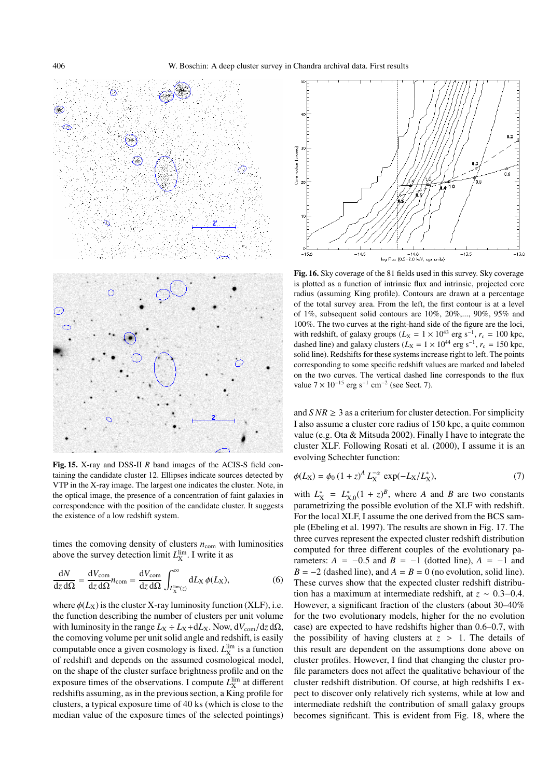

Fig. 15. X-ray and DSS-II *<sup>R</sup>* band images of the ACIS-S field containing the candidate cluster 12. Ellipses indicate sources detected by VTP in the X-ray image. The largest one indicates the cluster. Note, in the optical image, the presence of a concentration of faint galaxies in correspondence with the position of the candidate cluster. It suggests the existence of a low redshift system.

times the comoving density of clusters  $n_{\text{com}}$  with luminosities above the survey detection limit  $L_{\rm X}^{\rm lim}$ . I write it as

$$
\frac{dN}{dz d\Omega} = \frac{dV_{\text{com}}}{dz d\Omega} n_{\text{com}} = \frac{dV_{\text{com}}}{dz d\Omega} \int_{L_{\text{X}}^{\text{lim}}(z)}^{\infty} dL_{\text{X}} \phi(L_{\text{X}}),\tag{6}
$$

where  $\phi(L_X)$  is the cluster X-ray luminosity function (XLF), i.e. the function describing the number of clusters per unit volume with luminosity in the range  $L_X \div L_X + dL_X$ . Now,  $dV_{com}/dz d\Omega$ , the comoving volume per unit solid angle and redshift, is easily computable once a given cosmology is fixed.  $L_{\rm X}^{\rm lim}$  is a function of redshift and depends on the assumed cosmological model, on the shape of the cluster surface brightness profile and on the exposure times of the observations. I compute  $L_X^{\text{lim}}$  at different redshifts assuming, as in the previous section, a King profile for clusters, a typical exposure time of 40 ks (which is close to the median value of the exposure times of the selected pointings)



Fig. 16. Sky coverage of the 81 fields used in this survey. Sky coverage is plotted as a function of intrinsic flux and intrinsic, projected core radius (assuming King profile). Contours are drawn at a percentage of the total survey area. From the left, the first contour is at a level of 1%, subsequent solid contours are 10%, 20%,..., 90%, 95% and 100%. The two curves at the right-hand side of the figure are the loci, with redshift, of galaxy groups ( $L_X = 1 \times 10^{43}$  erg s<sup>-1</sup>,  $r_c = 100$  kpc, dashed line) and galaxy clusters ( $L_X = 1 \times 10^{44}$  erg s<sup>-1</sup>,  $r_c = 150$  kpc, solid line). Redshifts for these systems increase right to left. The points corresponding to some specific redshift values are marked and labeled on the two curves. The vertical dashed line corresponds to the flux value  $7 \times 10^{-15}$  erg s<sup>-1</sup> cm<sup>-2</sup> (see Sect. 7).

and  $SNR \geq 3$  as a criterium for cluster detection. For simplicity I also assume a cluster core radius of 150 kpc, a quite common value (e.g. Ota & Mitsuda 2002). Finally I have to integrate the cluster XLF. Following Rosati et al. (2000), I assume it is an evolving Schechter function:

$$
\phi(L_X) = \phi_0 \left(1 + z\right)^A L_X^{-\alpha} \exp(-L_X/L_X^*),\tag{7}
$$

with  $L_X^* = L_{X,0}^*(1 + z)^B$ , where *A* and *B* are two constants parametrizing the possible evolution of the XLF with redshift. For the local XLF, I assume the one derived from the BCS sample (Ebeling et al. 1997). The results are shown in Fig. 17. The three curves represent the expected cluster redshift distribution computed for three different couples of the evolutionary parameters:  $A = -0.5$  and  $B = -1$  (dotted line),  $A = -1$  and  $B = -2$  (dashed line), and  $A = B = 0$  (no evolution, solid line). These curves show that the expected cluster redshift distribution has a maximum at intermediate redshift, at *z* ∼ 0.3−0.4. However, a significant fraction of the clusters (about 30–40% for the two evolutionary models, higher for the no evolution case) are expected to have redshifts higher than 0.6–0.7, with the possibility of having clusters at  $z > 1$ . The details of this result are dependent on the assumptions done above on cluster profiles. However, I find that changing the cluster profile parameters does not affect the qualitative behaviour of the cluster redshift distribution. Of course, at high redshifts I expect to discover only relatively rich systems, while at low and intermediate redshift the contribution of small galaxy groups becomes significant. This is evident from Fig. 18, where the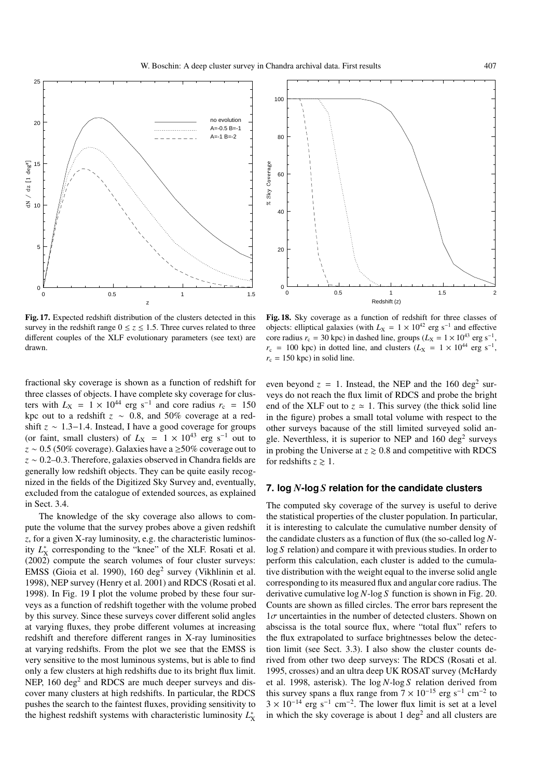

Fig. 17. Expected redshift distribution of the clusters detected in this survey in the redshift range  $0 \le z \le 1.5$ . Three curves related to three different couples of the XLF evolutionary parameters (see text) are drawn.

fractional sky coverage is shown as a function of redshift for three classes of objects. I have complete sky coverage for clusters with  $L_X = 1 \times 10^{44}$  erg s<sup>-1</sup> and core radius  $r_c = 150$ kpc out to a redshift *z* ∼ 0.8, and 50% coverage at a redshift *z* ∼ 1.3−1.4. Instead, I have a good coverage for groups (or faint, small clusters) of  $L_X = 1 \times 10^{43}$  erg s<sup>-1</sup> out to *z* ∼ 0.5 (50% coverage). Galaxies have a ≥50% coverage out to *z* ∼ 0.2–0.3. Therefore, galaxies observed in Chandra fields are generally low redshift objects. They can be quite easily recognized in the fields of the Digitized Sky Survey and, eventually, excluded from the catalogue of extended sources, as explained in Sect. 3.4.

The knowledge of the sky coverage also allows to compute the volume that the survey probes above a given redshift *z*, for a given X-ray luminosity, e.g. the characteristic luminosity  $L_X^*$  corresponding to the "knee" of the XLF. Rosati et al. (2002) compute the search volumes of four cluster surveys: EMSS (Gioia et al. 1990), 160 deg<sup>2</sup> survey (Vikhlinin et al. 1998), NEP survey (Henry et al. 2001) and RDCS (Rosati et al. 1998). In Fig. 19 I plot the volume probed by these four surveys as a function of redshift together with the volume probed by this survey. Since these surveys cover different solid angles at varying fluxes, they probe different volumes at increasing redshift and therefore different ranges in X-ray luminosities at varying redshifts. From the plot we see that the EMSS is very sensitive to the most luminous systems, but is able to find only a few clusters at high redshifts due to its bright flux limit. NEP,  $160 \text{ deg}^2$  and RDCS are much deeper surveys and discover many clusters at high redshifts. In particular, the RDCS pushes the search to the faintest fluxes, providing sensitivity to the highest redshift systems with characteristic luminosity *L*<sup>∗</sup> X



Fig. 18. Sky coverage as a function of redshift for three classes of objects: elliptical galaxies (with  $L_X = 1 \times 10^{42}$  erg s<sup>-1</sup> and effective core radius  $r_c = 30$  kpc) in dashed line, groups ( $L_X = 1 \times 10^{43}$  erg s<sup>-1</sup>,  $r_c$  = 100 kpc) in dotted line, and clusters ( $L_X$  = 1 × 10<sup>44</sup> erg s<sup>-1</sup>,  $r_c = 150$  kpc) in solid line.

even beyond  $z = 1$ . Instead, the NEP and the 160 deg<sup>2</sup> surveys do not reach the flux limit of RDCS and probe the bright end of the XLF out to  $z \approx 1$ . This survey (the thick solid line in the figure) probes a small total volume with respect to the other surveys bacause of the still limited surveyed solid angle. Neverthless, it is superior to NEP and  $160 \text{ deg}^2$  surveys in probing the Universe at  $z \geq 0.8$  and competitive with RDCS for redshifts  $z \geq 1$ .

## **7. log** *N***-log** *S* **relation for the candidate clusters**

The computed sky coverage of the survey is useful to derive the statistical properties of the cluster population. In particular, it is interesting to calculate the cumulative number density of the candidate clusters as a function of flux (the so-called log *N*log *S* relation) and compare it with previous studies. In order to perform this calculation, each cluster is added to the cumulative distribution with the weight equal to the inverse solid angle corresponding to its measured flux and angular core radius. The derivative cumulative log *N*-log *S* function is shown in Fig. 20. Counts are shown as filled circles. The error bars represent the  $1\sigma$  uncertainties in the number of detected clusters. Shown on abscissa is the total source flux, where "total flux" refers to the flux extrapolated to surface brightnesses below the detection limit (see Sect. 3.3). I also show the cluster counts derived from other two deep surveys: The RDCS (Rosati et al. 1995, crosses) and an ultra deep UK ROSAT survey (McHardy et al. 1998, asterisk). The log *N*-log *S* relation derived from this survey spans a flux range from  $7 \times 10^{-15}$  erg s<sup>-1</sup> cm<sup>-2</sup> to  $3 \times 10^{-14}$  erg s<sup>-1</sup> cm<sup>-2</sup>. The lower flux limit is set at a level in which the sky coverage is about 1 deg<sup>2</sup> and all clusters are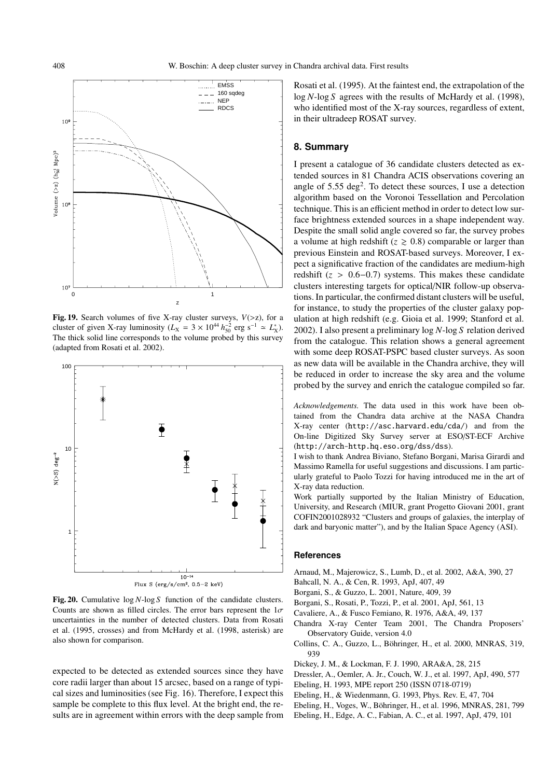

Fig. 19. Search volumes of five X-ray cluster surveys,  $V(>z)$ , for a cluster of given X-ray luminosity ( $L_X = 3 \times 10^{44} h_{50}^{-2}$  erg s<sup>-1</sup>  $\approx L_X^*$ ). The thick solid line corresponds to the volume probed by this survey (adapted from Rosati et al. 2002).



Fig. 20. Cumulative log *<sup>N</sup>*-log *<sup>S</sup>* function of the candidate clusters. Counts are shown as filled circles. The error bars represent the  $1\sigma$ uncertainties in the number of detected clusters. Data from Rosati et al. (1995, crosses) and from McHardy et al. (1998, asterisk) are also shown for comparison.

expected to be detected as extended sources since they have core radii larger than about 15 arcsec, based on a range of typical sizes and luminosities (see Fig. 16). Therefore, I expect this sample be complete to this flux level. At the bright end, the results are in agreement within errors with the deep sample from Rosati et al. (1995). At the faintest end, the extrapolation of the log *N*-log *S* agrees with the results of McHardy et al. (1998), who identified most of the X-ray sources, regardless of extent, in their ultradeep ROSAT survey.

## **8. Summary**

I present a catalogue of 36 candidate clusters detected as extended sources in 81 Chandra ACIS observations covering an angle of  $5.55 \text{ deg}^2$ . To detect these sources, I use a detection algorithm based on the Voronoi Tessellation and Percolation technique. This is an efficient method in order to detect low surface brightness extended sources in a shape independent way. Despite the small solid angle covered so far, the survey probes a volume at high redshift  $(z \ge 0.8)$  comparable or larger than previous Einstein and ROSAT-based surveys. Moreover, I expect a significative fraction of the candidates are medium-high redshift  $(z > 0.6-0.7)$  systems. This makes these candidate clusters interesting targets for optical/NIR follow-up observations. In particular, the confirmed distant clusters will be useful, for instance, to study the properties of the cluster galaxy population at high redshift (e.g. Gioia et al. 1999; Stanford et al. 2002). I also present a preliminary log *N*-log *S* relation derived from the catalogue. This relation shows a general agreement with some deep ROSAT-PSPC based cluster surveys. As soon as new data will be available in the Chandra archive, they will be reduced in order to increase the sky area and the volume probed by the survey and enrich the catalogue compiled so far.

*Acknowledgements.* The data used in this work have been obtained from the Chandra data archive at the NASA Chandra X-ray center (http://asc.harvard.edu/cda/) and from the On-line Digitized Sky Survey server at ESO/ST-ECF Archive (http://arch-http.hq.eso.org/dss/dss).

I wish to thank Andrea Biviano, Stefano Borgani, Marisa Girardi and Massimo Ramella for useful suggestions and discussions. I am particularly grateful to Paolo Tozzi for having introduced me in the art of X-ray data reduction.

Work partially supported by the Italian Ministry of Education, University, and Research (MIUR, grant Progetto Giovani 2001, grant COFIN2001028932 "Clusters and groups of galaxies, the interplay of dark and baryonic matter"), and by the Italian Space Agency (ASI).

## **References**

- Arnaud, M., Majerowicz, S., Lumb, D., et al. 2002, A&A, 390, 27
- Bahcall, N. A., & Cen, R. 1993, ApJ, 407, 49
- Borgani, S., & Guzzo, L. 2001, Nature, 409, 39
- Borgani, S., Rosati, P., Tozzi, P., et al. 2001, ApJ, 561, 13
- Cavaliere, A., & Fusco Femiano, R. 1976, A&A, 49, 137
- Chandra X-ray Center Team 2001, The Chandra Proposers' Observatory Guide, version 4.0
- Collins, C. A., Guzzo, L., Böhringer, H., et al. 2000, MNRAS, 319, 939
- Dickey, J. M., & Lockman, F. J. 1990, ARA&A, 28, 215
- Dressler, A., Oemler, A. Jr., Couch, W. J., et al. 1997, ApJ, 490, 577
- Ebeling, H. 1993, MPE report 250 (ISSN 0718-0719)
- Ebeling, H., & Wiedenmann, G. 1993, Phys. Rev. E, 47, 704
- Ebeling, H., Voges, W., Böhringer, H., et al. 1996, MNRAS, 281, 799
- Ebeling, H., Edge, A. C., Fabian, A. C., et al. 1997, ApJ, 479, 101